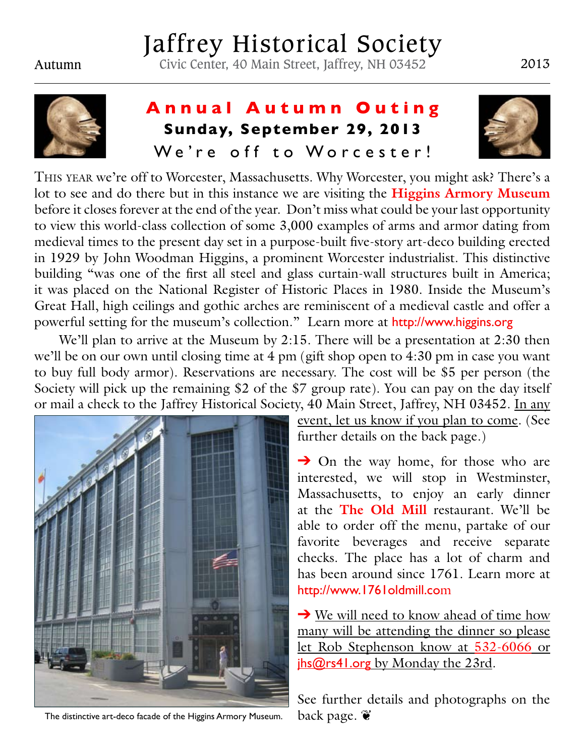# Jaffrey Historical Society

Autumn Civic Center, 40 Main Street, Jaffrey, NH 03452 2013



## **Annual Autumn Outing Sunday, September 29, 2013** We're off to Worcester!



This year we're off to Worcester, Massachusetts. Why Worcester, you might ask? There's a lot to see and do there but in this instance we are visiting the **Higgins Armory Museum** before it closes forever at the end of the year. Don't miss what could be your last opportunity to view this world-class collection of some 3,000 examples of arms and armor dating from medieval times to the present day set in a purpose-built five-story art-deco building erected in 1929 by John Woodman Higgins, a prominent Worcester industrialist. This distinctive building "was one of the first all steel and glass curtain-wall structures built in America; it was placed on the National Register of Historic Places in 1980. Inside the Museum's Great Hall, high ceilings and gothic arches are reminiscent of a medieval castle and offer a powerful setting for the museum's collection." Learn more at http://www.higgins.org

We'll plan to arrive at the Museum by 2:15. There will be a presentation at 2:30 then we'll be on our own until closing time at 4 pm (gift shop open to 4:30 pm in case you want to buy full body armor). Reservations are necessary. The cost will be \$5 per person (the Society will pick up the remaining \$2 of the \$7 group rate). You can pay on the day itself or mail a check to the Jaffrey Historical Society, 40 Main Street, Jaffrey, NH 03452. In any



The distinctive art-deco facade of the Higgins Armory Museum. back page.  $\mathbf{\tilde{e}}$ 

event, let us know if you plan to come. (See further details on the back page.)

 $\rightarrow$  On the way home, for those who are interested, we will stop in Westminster, Massachusetts, to enjoy an early dinner at the **The Old Mill** restaurant. We'll be able to order off the menu, partake of our favorite beverages and receive separate checks. The place has a lot of charm and has been around since 1761. Learn more at http://www.1761oldmill.com

 $\rightarrow$  We will need to know ahead of time how many will be attending the dinner so please let Rob Stephenson know at 532-6066 or jhs@rs41.org by Monday the 23rd.

See further details and photographs on the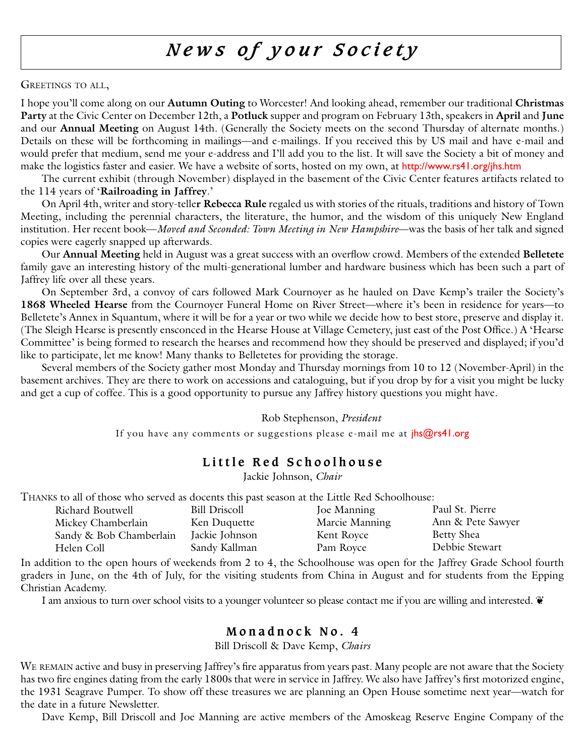## *News of your Society*

#### GREETINGS TO ALL,

I hope you'll come along on our **Autumn Outing** to Worcester! And looking ahead, remember our traditional **Christmas Party** at the Civic Center on December 12th, a **Potluck** supper and program on February 13th, speakers in **April** and **June** and our **Annual Meeting** on August 14th. (Generally the Society meets on the second Thursday of alternate months.) Details on these will be forthcoming in mailings—and e-mailings. If you received this by US mail and have e-mail and would prefer that medium, send me your e-address and I'll add you to the list. It will save the Society a bit of money and make the logistics faster and easier. We have a website of sorts, hosted on my own, at http://www.rs41.org/jhs.htm

The current exhibit (through November) displayed in the basement of the Civic Center features artifacts related to the 114 years of '**Railroading in Jaffrey**.'

On April 4th, writer and story-telle**r Rebecca Rule** regaled us with stories of the rituals, traditions and history of Town Meeting, including the perennial characters, the literature, the humor, and the wisdom of this uniquely New England institution. Her recent book—*Moved and Seconded: Town Meeting in New Hampshire*—was the basis of her talk and signed copies were eagerly snapped up afterwards.

Our **Annual Meeting** held in August was a great success with an overflow crowd. Members of the extended **Belletete** family gave an interesting history of the multi-generational lumber and hardware business which has been such a part of Jaffrey life over all these years.

On September 3rd, a convoy of cars followed Mark Cournoyer as he hauled on Dave Kemp's trailer the Society's **1868 Wheeled Hearse** from the Cournoyer Funeral Home on River Street—where it's been in residence for years—to Belletete's Annex in Squantum, where it will be for a year or two while we decide how to best store, preserve and display it. (The Sleigh Hearse is presently ensconced in the Hearse House at Village Cemetery, just east of the Post Office.) A 'Hearse Committee' is being formed to research the hearses and recommend how they should be preserved and displayed; if you'd like to participate, let me know! Many thanks to Belletetes for providing the storage.

Several members of the Society gather most Monday and Thursday mornings from 10 to 12 (November-April) in the basement archives. They are there to work on accessions and cataloguing, but if you drop by for a visit you might be lucky and get a cup of coffee. This is a good opportunity to pursue any Jaffrey history questions you might have.

#### Rob Stephenson, *President*

If you have any comments or suggestions please e-mail me at  $|h\overline{s}\omega r\overline{s}41\rangle$ .org

## **Little Red Schoolhouse**

Jackie Johnson, *Chair*

Thanks to all of those who served as docents this past season at the Little Red Schoolhouse:

| Richard Boutwell        | <b>Bill Driscoll</b> | Joe Manning    | Paul St. Pierre   |
|-------------------------|----------------------|----------------|-------------------|
| Mickey Chamberlain      | Ken Duquette         | Marcie Manning | Ann & Pete Sawyer |
| Sandy & Bob Chamberlain | Jackie Johnson       | Kent Royce     | <b>Betty Shea</b> |
| Helen Coll              | Sandy Kallman        | Pam Royce      | Debbie Stewart    |

In addition to the open hours of weekends from 2 to 4, the Schoolhouse was open for the Jaffrey Grade School fourth graders in June, on the 4th of July, for the visiting students from China in August and for students from the Epping Christian Academy.

I am anxious to turn over school visits to a younger volunteer so please contact me if you are willing and interested.  $\bullet$ 

## **Monadnock No. 4**

Bill Driscoll & Dave Kemp, *Chairs*

WE REMAIN active and busy in preserving Jaffrey's fire apparatus from years past. Many people are not aware that the Society has two fire engines dating from the early 1800s that were in service in Jaffrey. We also have Jaffrey's first motorized engine, the 1931 Seagrave Pumper. To show off these treasures we are planning an Open House sometime next year—watch for the date in a future Newsletter.

Dave Kemp, Bill Driscoll and Joe Manning are active members of the Amoskeag Reserve Engine Company of the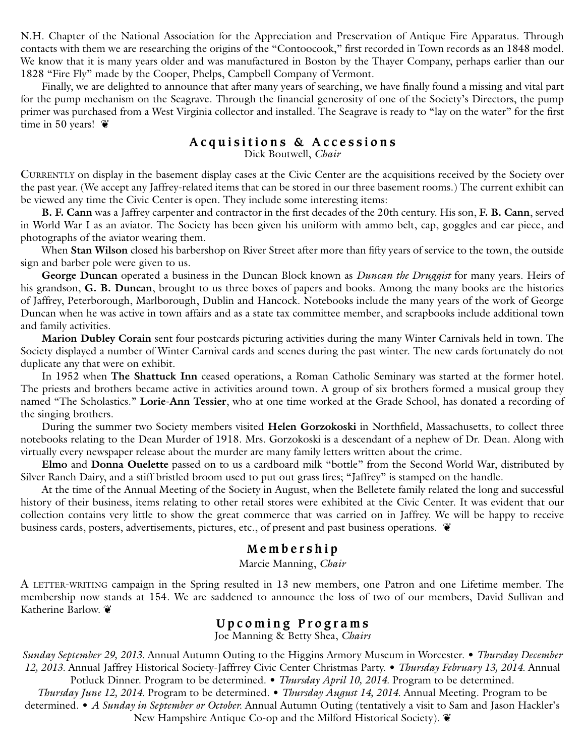N.H. Chapter of the National Association for the Appreciation and Preservation of Antique Fire Apparatus. Through contacts with them we are researching the origins of the "Contoocook," first recorded in Town records as an 1848 model. We know that it is many years older and was manufactured in Boston by the Thayer Company, perhaps earlier than our 1828 "Fire Fly" made by the Cooper, Phelps, Campbell Company of Vermont.

Finally, we are delighted to announce that after many years of searching, we have finally found a missing and vital part for the pump mechanism on the Seagrave. Through the financial generosity of one of the Society's Directors, the pump primer was purchased from a West Virginia collector and installed. The Seagrave is ready to "lay on the water" for the first time in 50 years!  $\tilde{\mathbf{v}}$ 

#### **Acquisitions & Accessions** Dick Boutwell, *Chair*

CURRENTLY on display in the basement display cases at the Civic Center are the acquisitions received by the Society over the past year. (We accept any Jaffrey-related items that can be stored in our three basement rooms.) The current exhibit can be viewed any time the Civic Center is open. They include some interesting items:

**B. F. Cann** was a Jaffrey carpenter and contractor in the first decades of the 20th century. His son, **F. B. Cann**, served in World War I as an aviator. The Society has been given his uniform with ammo belt, cap, goggles and ear piece, and photographs of the aviator wearing them.

When **Stan Wilson** closed his barbershop on River Street after more than fifty years of service to the town, the outside sign and barber pole were given to us.

**George Duncan** operated a business in the Duncan Block known as *Duncan the Druggist* for many years. Heirs of his grandson, **G. B. Duncan**, brought to us three boxes of papers and books. Among the many books are the histories of Jaffrey, Peterborough, Marlborough, Dublin and Hancock. Notebooks include the many years of the work of George Duncan when he was active in town affairs and as a state tax committee member, and scrapbooks include additional town and family activities.

**Marion Dubley Corain** sent four postcards picturing activities during the many Winter Carnivals held in town. The Society displayed a number of Winter Carnival cards and scenes during the past winter. The new cards fortunately do not duplicate any that were on exhibit.

In 1952 when **The Shattuck Inn** ceased operations, a Roman Catholic Seminary was started at the former hotel. The priests and brothers became active in activities around town. A group of six brothers formed a musical group they named "The Scholastics." **Lorie-Ann Tessier**, who at one time worked at the Grade School, has donated a recording of the singing brothers.

During the summer two Society members visited **Helen Gorzokoski** in Northfield, Massachusetts, to collect three notebooks relating to the Dean Murder of 1918. Mrs. Gorzokoski is a descendant of a nephew of Dr. Dean. Along with virtually every newspaper release about the murder are many family letters written about the crime.

**Elmo** and **Donna Ouelette** passed on to us a cardboard milk "bottle" from the Second World War, distributed by Silver Ranch Dairy, and a stiff bristled broom used to put out grass fires; "Jaffrey" is stamped on the handle.

At the time of the Annual Meeting of the Society in August, when the Belletete family related the long and successful history of their business, items relating to other retail stores were exhibited at the Civic Center. It was evident that our collection contains very little to show the great commerce that was carried on in Jaffrey. We will be happy to receive business cards, posters, advertisements, pictures, etc., of present and past business operations. ❦

## **Membership**

#### Marcie Manning, *Chair*

A LETTER-WRITING campaign in the Spring resulted in 13 new members, one Patron and one Lifetime member. The membership now stands at 154. We are saddened to announce the loss of two of our members, David Sullivan and Katherine Barlow. ❦

#### **Upcoming Programs**

Joe Manning & Betty Shea, *Chairs*

*Sunday September 29, 2013.* Annual Autumn Outing to the Higgins Armory Museum in Worcester. • *Thursday December 12, 2013.* Annual Jaffrey Historical Society-Jaffrrey Civic Center Christmas Party. • *Thursday February 13, 2014.* Annual Potluck Dinner. Program to be determined. • *Thursday April 10, 2014.* Program to be determined.

*Thursday June 12, 2014.* Program to be determined. • *Thursday August 14, 2014.* Annual Meeting. Program to be determined. • *A Sunday in September or October.* Annual Autumn Outing (tentatively a visit to Sam and Jason Hackler's New Hampshire Antique Co-op and the Milford Historical Society).  $\mathbf{\mathcal{C}}$